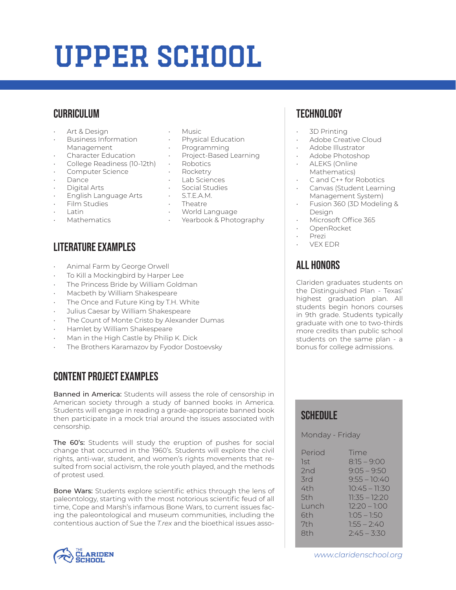# Upper School

## **CURRICULUM**

- Art & Design
- Business Information Management
- Character Education
- College Readiness (10-12th)
- Computer Science
- Dance
- Digital Arts
- English Language Arts
- Film Studies
- Latin
- **Mathematics**

## Literature Examples

- Animal Farm by George Orwell
- To Kill a Mockingbird by Harper Lee
- The Princess Bride by William Goldman
- Macbeth by William Shakespeare
- The Once and Future King by T.H. White
- Julius Caesar by William Shakespeare
- The Count of Monte Cristo by Alexander Dumas
- Hamlet by William Shakespeare
- Man in the High Castle by Philip K. Dick
- The Brothers Karamazov by Fyodor Dostoevsky

### Content Project Examples

Banned in America: Students will assess the role of censorship in American society through a study of banned books in America. Students will engage in reading a grade-appropriate banned book then participate in a mock trial around the issues associated with censorship.

The 60's: Students will study the eruption of pushes for social change that occurred in the 1960's. Students will explore the civil rights, anti-war, student, and women's rights movements that resulted from social activism, the role youth played, and the methods of protest used.

Bone Wars: Students explore scientific ethics through the lens of paleontology, starting with the most notorious scientific feud of all time, Cope and Marsh's infamous Bone Wars, to current issues facing the paleontological and museum communities, including the contentious auction of Sue the *T.rex* and the bioethical issues asso-



- **Music**
- Physical Education
- Programming
- Project-Based Learning
- Robotics
- **Rocketry**
- Lab Sciences
- Social Studies
- STEAM
- Theatre
- World Language
- Yearbook & Photography

# Technology

- 3D Printing
- Adobe Creative Cloud
- Adobe Illustrator
- Adobe Photoshop
- ALEKS (Online
- Mathematics)
- C and C++ for Robotics
- Canvas (Student Learning Management System)
- Fusion 360 (3D Modeling & Design
- Microsoft Office 365
- OpenRocket
- Prezi
- VEX EDR

## All Honors

Clariden graduates students on the Distinguished Plan - Texas' highest graduation plan. All students begin honors courses in 9th grade. Students typically graduate with one to two-thirds more credits than public school students on the same plan - a bonus for college admissions.

### **SCHEDULE**

Monday - Friday

| Period | Time            |
|--------|-----------------|
| 1st    | $8:15 - 9:00$   |
| 2nd    | $9:05 - 9:50$   |
| 3rd    | $9:55 - 10:40$  |
| 4th    | $10:45 - 11:30$ |
| 5th    | $11:35 - 12:20$ |
| Lunch  | $12:20 - 1:00$  |
| 6th    | $1:05 - 1:50$   |
| 7th    | $1:55 - 2:40$   |
| 8th    | $2:45 - 3:30$   |
|        |                 |